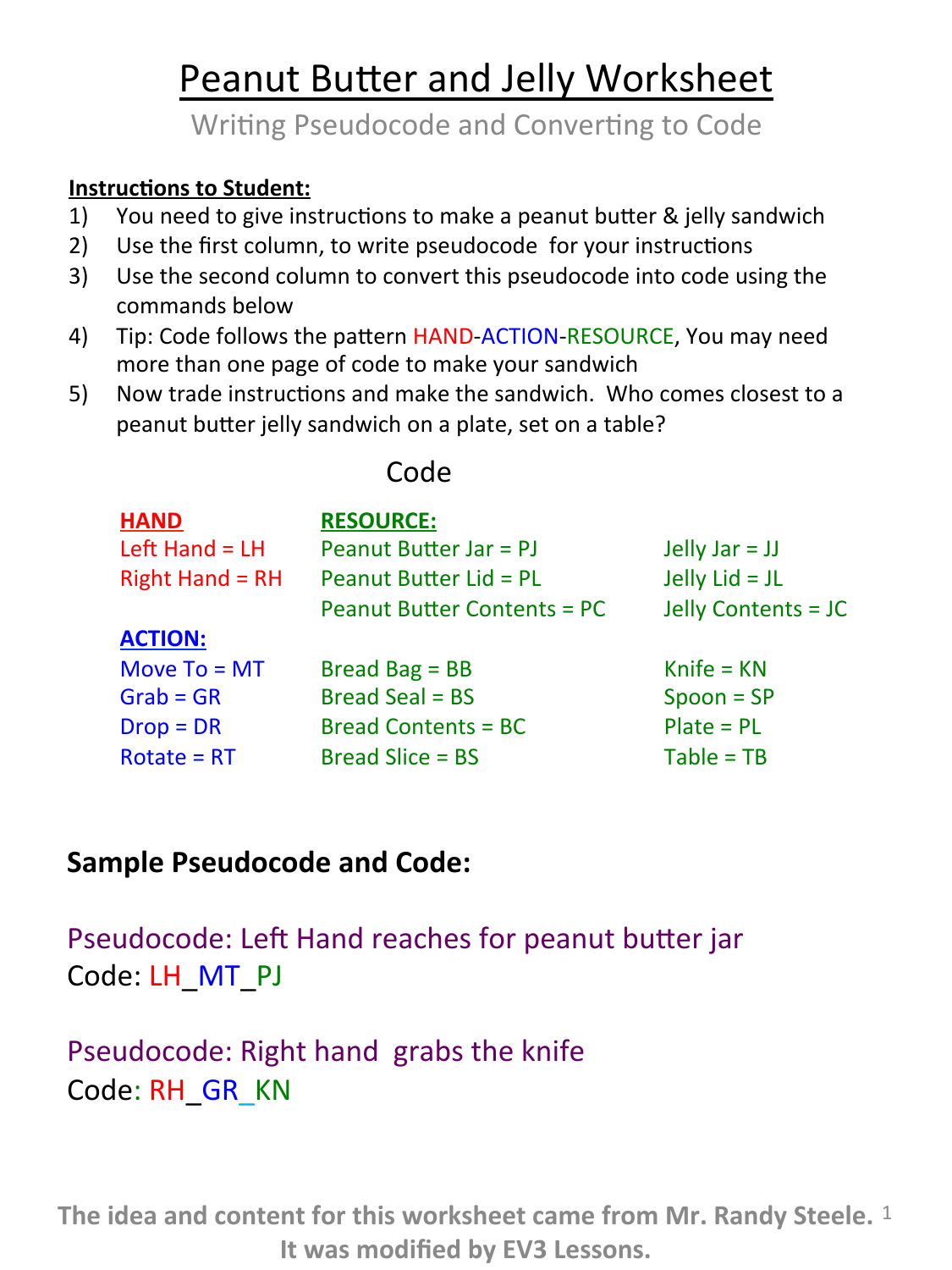# Peanut Butter and Jelly Worksheet

Writing Pseudocode and Converting to Code

#### **Instructions to Student:**

- 1) You need to give instructions to make a peanut butter & jelly sandwich
- 2) Use the first column, to write pseudocode for your instructions
- 3) Use the second column to convert this pseudocode into code using the commands below
- 4) Tip: Code follows the pattern HAND-ACTION-RESOURCE, You may need more than one page of code to make your sandwich
- 5) Now trade instructions and make the sandwich. Who comes closest to a peanut butter jelly sandwich on a plate, set on a table?

#### **HAND**  Left Hand  $=$  LH Right Hand =  $RH$ **ACTION:** Move  $To = MT$  $Grab = GR$  $Drop = DR$  $Rotate = RT$ **RESOURCE:**  Peanut Butter Jar =  $PI$ Peanut Butter  $Lid = PL$ Peanut Butter Contents =  $PC$ Bread  $Bag = BB$  $Bread$  Seal =  $BS$ Bread Contents  $= BC$ Bread Slice  $=$  BS Jelly  $Jar = JJ$ Jelly  $Lid = JL$ Jelly Contents = JC  $Kn$ ife =  $KN$  $Spoon = SP$  $Place = PL$  $Table = TB$

## **Sample Pseudocode and Code:**

Pseudocode: Left Hand reaches for peanut butter jar Code: LH MT PJ

# Pseudocode: Right hand grabs the knife Code: RH GR KN

The idea and content for this worksheet came from Mr. Randy Steele. <sup>1</sup> **It was modified by EV3 Lessons.** 

### Code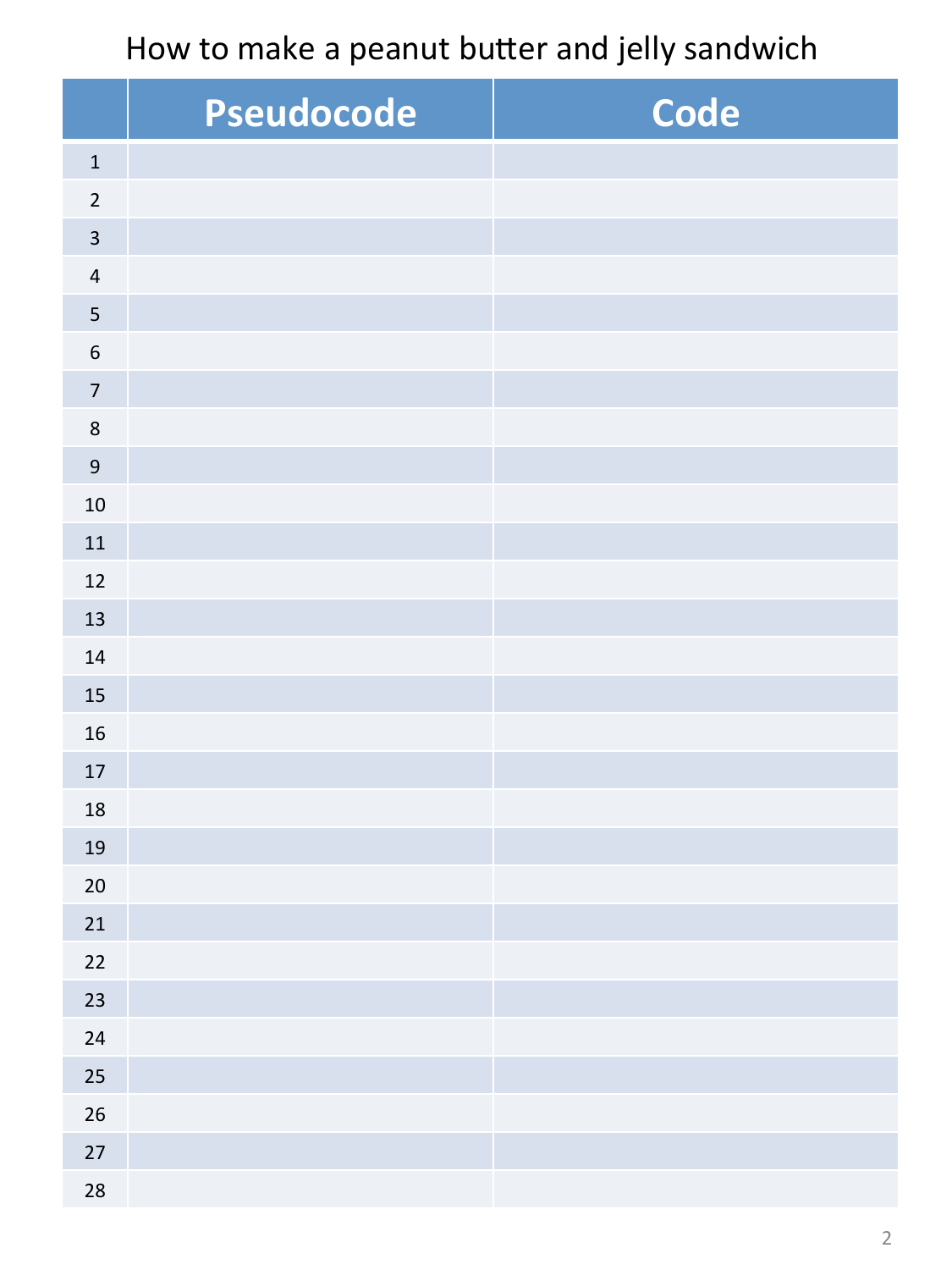How to make a peanut butter and jelly sandwich

|                         | Pseudocode | Code |
|-------------------------|------------|------|
| $\mathbf 1$             |            |      |
| $\overline{2}$          |            |      |
| $\overline{\mathbf{3}}$ |            |      |
| $\sqrt{4}$              |            |      |
| $\overline{\mathbf{5}}$ |            |      |
| $\,$ 6 $\,$             |            |      |
| $\overline{7}$          |            |      |
| $\,8\,$                 |            |      |
| $\overline{9}$          |            |      |
| $10\,$                  |            |      |
| 11                      |            |      |
| 12                      |            |      |
| 13                      |            |      |
| 14                      |            |      |
| 15                      |            |      |
| 16                      |            |      |
| $17\,$                  |            |      |
| 18                      |            |      |
| 19                      |            |      |
| $20\,$                  |            |      |
| 21                      |            |      |
| 22                      |            |      |
| 23                      |            |      |
| 24                      |            |      |
| 25                      |            |      |
| 26                      |            |      |
| 27                      |            |      |
| 28                      |            |      |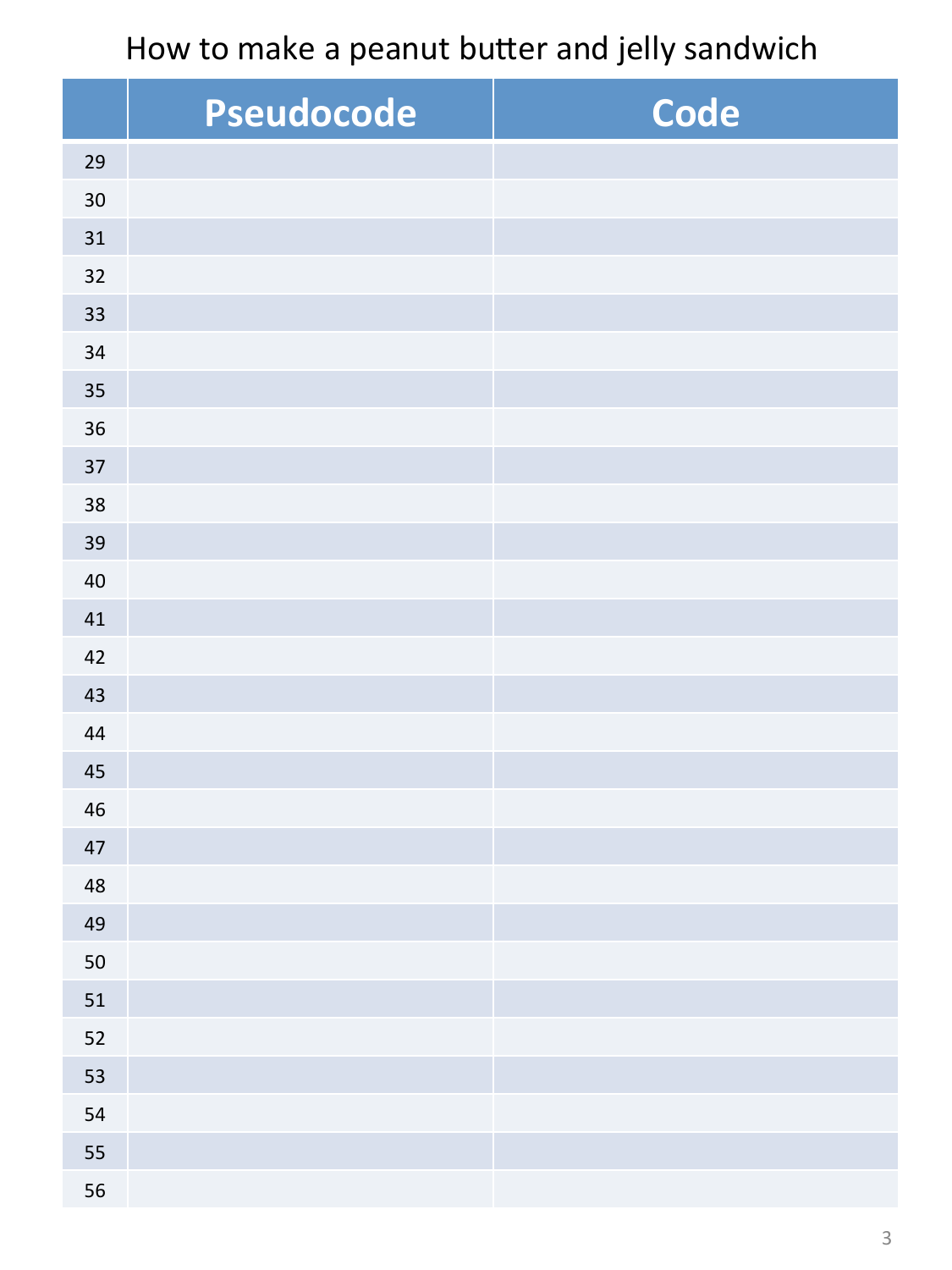How to make a peanut butter and jelly sandwich

|    | Pseudocode | Code |
|----|------------|------|
| 29 |            |      |
| 30 |            |      |
| 31 |            |      |
| 32 |            |      |
| 33 |            |      |
| 34 |            |      |
| 35 |            |      |
| 36 |            |      |
| 37 |            |      |
| 38 |            |      |
| 39 |            |      |
| 40 |            |      |
| 41 |            |      |
| 42 |            |      |
| 43 |            |      |
| 44 |            |      |
| 45 |            |      |
| 46 |            |      |
| 47 |            |      |
| 48 |            |      |
| 49 |            |      |
| 50 |            |      |
| 51 |            |      |
| 52 |            |      |
| 53 |            |      |
| 54 |            |      |
| 55 |            |      |
| 56 |            |      |